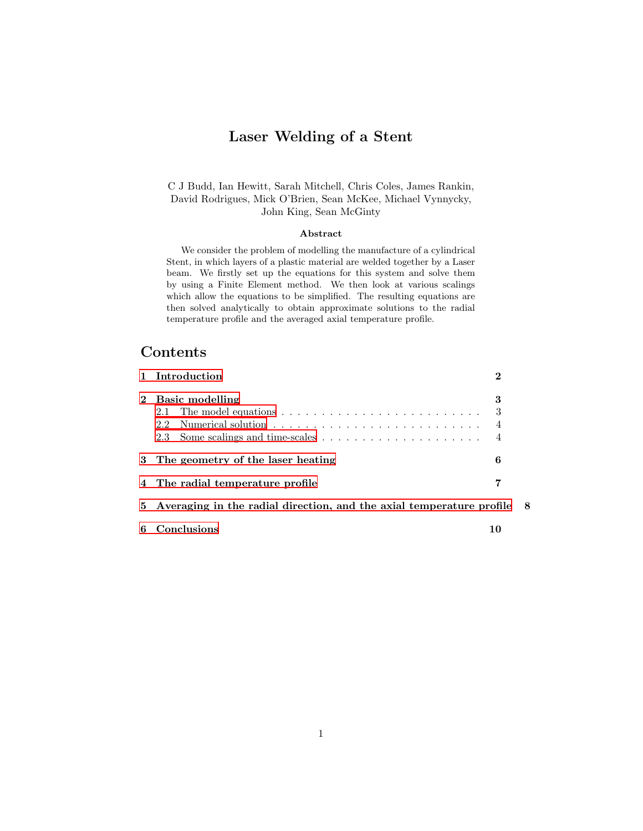# Laser Welding of a Stent

C J Budd, Ian Hewitt, Sarah Mitchell, Chris Coles, James Rankin, David Rodrigues, Mick O'Brien, Sean McKee, Michael Vynnycky, John King, Sean McGinty

#### Abstract

We consider the problem of modelling the manufacture of a cylindrical Stent, in which layers of a plastic material are welded together by a Laser beam. We firstly set up the equations for this system and solve them by using a Finite Element method. We then look at various scalings which allow the equations to be simplified. The resulting equations are then solved analytically to obtain approximate solutions to the radial temperature profile and the averaged axial temperature profile.

# Contents

|             | 1 Introduction                                                           | $\mathcal{D}$                         |  |  |  |
|-------------|--------------------------------------------------------------------------|---------------------------------------|--|--|--|
| $2^{\circ}$ | <b>Basic modelling</b>                                                   | 3<br>$\overline{4}$<br>$\overline{4}$ |  |  |  |
|             | 3 The geometry of the laser heating                                      | 6                                     |  |  |  |
|             | 4 The radial temperature profile                                         | 7                                     |  |  |  |
|             | 5 Averaging in the radial direction, and the axial temperature profile 8 |                                       |  |  |  |
| 6           | Conclusions                                                              | 10                                    |  |  |  |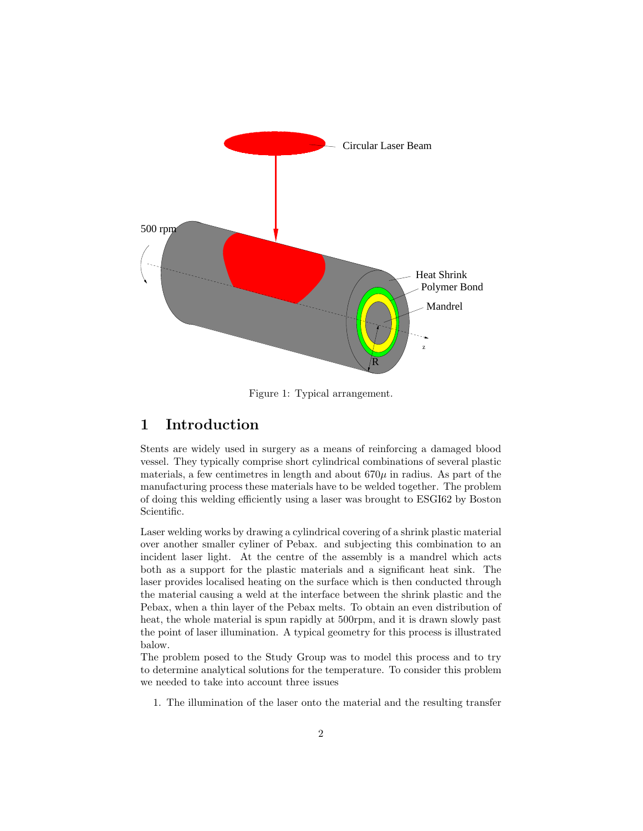

Figure 1: Typical arrangement.

# <span id="page-1-0"></span>1 Introduction

Stents are widely used in surgery as a means of reinforcing a damaged blood vessel. They typically comprise short cylindrical combinations of several plastic materials, a few centimetres in length and about  $670\mu$  in radius. As part of the manufacturing process these materials have to be welded together. The problem of doing this welding efficiently using a laser was brought to ESGI62 by Boston Scientific.

Laser welding works by drawing a cylindrical covering of a shrink plastic material over another smaller cyliner of Pebax. and subjecting this combination to an incident laser light. At the centre of the assembly is a mandrel which acts both as a support for the plastic materials and a significant heat sink. The laser provides localised heating on the surface which is then conducted through the material causing a weld at the interface between the shrink plastic and the Pebax, when a thin layer of the Pebax melts. To obtain an even distribution of heat, the whole material is spun rapidly at 500rpm, and it is drawn slowly past the point of laser illumination. A typical geometry for this process is illustrated balow.

The problem posed to the Study Group was to model this process and to try to determine analytical solutions for the temperature. To consider this problem we needed to take into account three issues

1. The illumination of the laser onto the material and the resulting transfer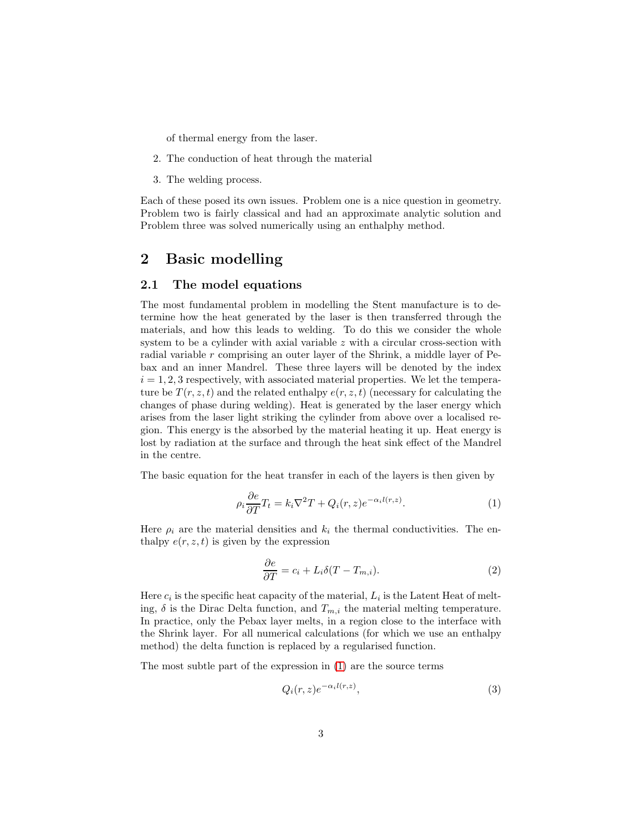of thermal energy from the laser.

- 2. The conduction of heat through the material
- 3. The welding process.

Each of these posed its own issues. Problem one is a nice question in geometry. Problem two is fairly classical and had an approximate analytic solution and Problem three was solved numerically using an enthalphy method.

# <span id="page-2-0"></span>2 Basic modelling

#### <span id="page-2-1"></span>2.1 The model equations

The most fundamental problem in modelling the Stent manufacture is to determine how the heat generated by the laser is then transferred through the materials, and how this leads to welding. To do this we consider the whole system to be a cylinder with axial variable  $z$  with a circular cross-section with radial variable r comprising an outer layer of the Shrink, a middle layer of Pebax and an inner Mandrel. These three layers will be denoted by the index  $i = 1, 2, 3$  respectively, with associated material properties. We let the temperature be  $T(r, z, t)$  and the related enthalpy  $e(r, z, t)$  (necessary for calculating the changes of phase during welding). Heat is generated by the laser energy which arises from the laser light striking the cylinder from above over a localised region. This energy is the absorbed by the material heating it up. Heat energy is lost by radiation at the surface and through the heat sink effect of the Mandrel in the centre.

The basic equation for the heat transfer in each of the layers is then given by

<span id="page-2-2"></span>
$$
\rho_i \frac{\partial e}{\partial T} T_t = k_i \nabla^2 T + Q_i(r, z) e^{-\alpha_i l(r, z)}.
$$
\n(1)

Here  $\rho_i$  are the material densities and  $k_i$  the thermal conductivities. The enthalpy  $e(r, z, t)$  is given by the expression

<span id="page-2-3"></span>
$$
\frac{\partial e}{\partial T} = c_i + L_i \delta(T - T_{m,i}).\tag{2}
$$

Here  $c_i$  is the specific heat capacity of the material,  $L_i$  is the Latent Heat of melting,  $\delta$  is the Dirac Delta function, and  $T_{m,i}$  the material melting temperature. In practice, only the Pebax layer melts, in a region close to the interface with the Shrink layer. For all numerical calculations (for which we use an enthalpy method) the delta function is replaced by a regularised function.

The most subtle part of the expression in [\(1\)](#page-2-2) are the source terms

<span id="page-2-4"></span>
$$
Q_i(r,z)e^{-\alpha_i l(r,z)},\tag{3}
$$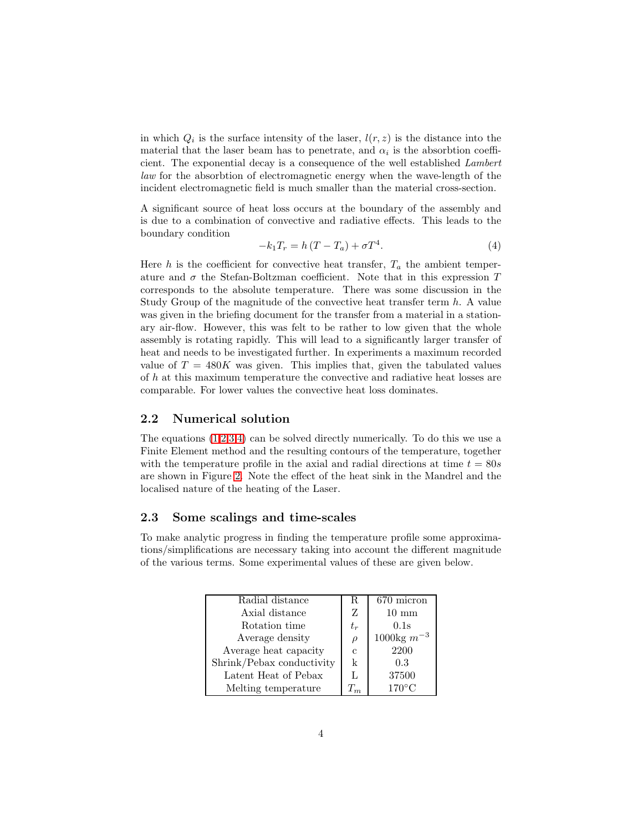in which  $Q_i$  is the surface intensity of the laser,  $l(r, z)$  is the distance into the material that the laser beam has to penetrate, and  $\alpha_i$  is the absorbtion coefficient. The exponential decay is a consequence of the well established Lambert law for the absorbtion of electromagnetic energy when the wave-length of the incident electromagnetic field is much smaller than the material cross-section.

A significant source of heat loss occurs at the boundary of the assembly and is due to a combination of convective and radiative effects. This leads to the boundary condition

<span id="page-3-2"></span>
$$
-k_1 T_r = h(T - T_a) + \sigma T^4. \tag{4}
$$

Here h is the coefficient for convective heat transfer,  $T_a$  the ambient temperature and  $\sigma$  the Stefan-Boltzman coefficient. Note that in this expression  $T$ corresponds to the absolute temperature. There was some discussion in the Study Group of the magnitude of the convective heat transfer term  $h$ . A value was given in the briefing document for the transfer from a material in a stationary air-flow. However, this was felt to be rather to low given that the whole assembly is rotating rapidly. This will lead to a significantly larger transfer of heat and needs to be investigated further. In experiments a maximum recorded value of  $T = 480K$  was given. This implies that, given the tabulated values of h at this maximum temperature the convective and radiative heat losses are comparable. For lower values the convective heat loss dominates.

#### <span id="page-3-0"></span>2.2 Numerical solution

The equations  $(1,2,3,4)$  $(1,2,3,4)$  $(1,2,3,4)$  $(1,2,3,4)$  can be solved directly numerically. To do this we use a Finite Element method and the resulting contours of the temperature, together with the temperature profile in the axial and radial directions at time  $t = 80s$ are shown in Figure [2.](#page-4-0) Note the effect of the heat sink in the Mandrel and the localised nature of the heating of the Laser.

#### <span id="page-3-1"></span>2.3 Some scalings and time-scales

To make analytic progress in finding the temperature profile some approximations/simplifications are necessary taking into account the different magnitude of the various terms. Some experimental values of these are given below.

| Radial distance           | R      | 670 micron             |
|---------------------------|--------|------------------------|
| Axial distance            | Z      | $10 \text{ mm}$        |
| Rotation time             | $t_r$  | 0.1s                   |
| Average density           | $\rho$ | $1000\text{kg }m^{-3}$ |
| Average heat capacity     | С      | 2200                   |
| Shrink/Pebax conductivity | k      | 0.3                    |
| Latent Heat of Pebax      | L      | 37500                  |
| Melting temperature       | $T_m$  | $170^{\circ}$ C        |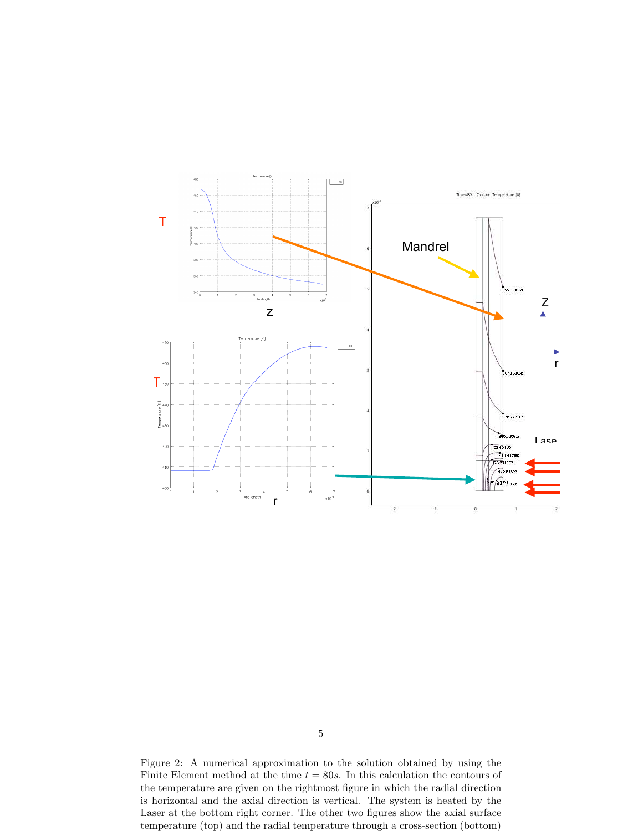

<span id="page-4-0"></span>Figure 2: A numerical approximation to the solution obtained by using the Finite Element method at the time  $t = 80s$ . In this calculation the contours of the temperature are given on the rightmost figure in which the radial direction is horizontal and the axial direction is vertical. The system is heated by the Laser at the bottom right corner. The other two figures show the axial surface temperature (top) and the radial temperature through a cross-section (bottom)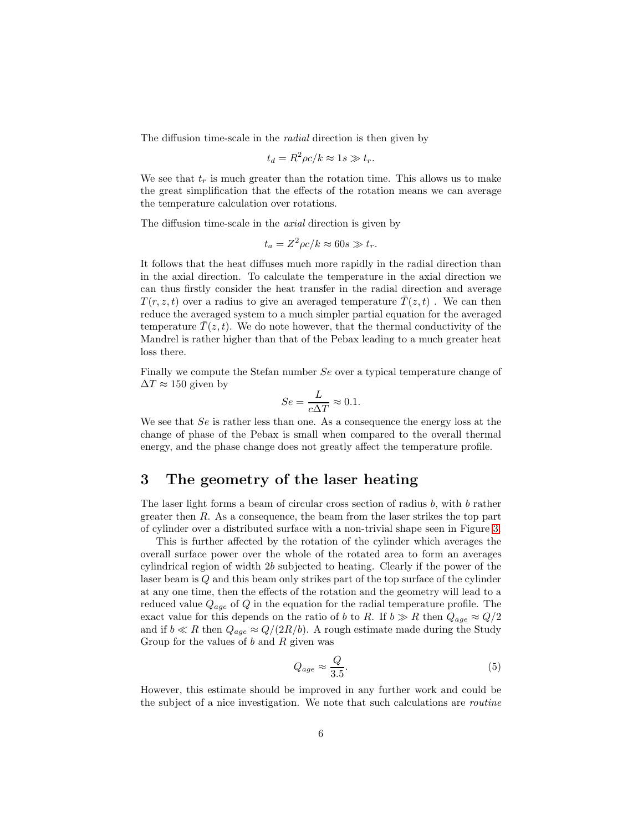The diffusion time-scale in the radial direction is then given by

$$
t_d = R^2 \rho c / k \approx 1s \gg t_r.
$$

We see that  $t_r$  is much greater than the rotation time. This allows us to make the great simplification that the effects of the rotation means we can average the temperature calculation over rotations.

The diffusion time-scale in the axial direction is given by

$$
t_a = Z^2 \rho c / k \approx 60s \gg t_r.
$$

It follows that the heat diffuses much more rapidly in the radial direction than in the axial direction. To calculate the temperature in the axial direction we can thus firstly consider the heat transfer in the radial direction and average  $T(r, z, t)$  over a radius to give an averaged temperature  $T(z, t)$ . We can then reduce the averaged system to a much simpler partial equation for the averaged temperature  $T(z, t)$ . We do note however, that the thermal conductivity of the Mandrel is rather higher than that of the Pebax leading to a much greater heat loss there.

Finally we compute the Stefan number Se over a typical temperature change of  $\Delta T \approx 150$  given by

$$
Se = \frac{L}{c\Delta T} \approx 0.1.
$$

We see that Se is rather less than one. As a consequence the energy loss at the change of phase of the Pebax is small when compared to the overall thermal energy, and the phase change does not greatly affect the temperature profile.

### <span id="page-5-0"></span>3 The geometry of the laser heating

The laser light forms a beam of circular cross section of radius b, with b rather greater then  $R$ . As a consequence, the beam from the laser strikes the top part of cylinder over a distributed surface with a non-trivial shape seen in Figure [3.](#page-6-1)

This is further affected by the rotation of the cylinder which averages the overall surface power over the whole of the rotated area to form an averages cylindrical region of width 2b subjected to heating. Clearly if the power of the laser beam is Q and this beam only strikes part of the top surface of the cylinder at any one time, then the effects of the rotation and the geometry will lead to a reduced value  $Q_{age}$  of Q in the equation for the radial temperature profile. The exact value for this depends on the ratio of b to R. If  $b \gg R$  then  $Q_{age} \approx Q/2$ and if  $b \ll R$  then  $Q_{age} \approx Q/(2R/b)$ . A rough estimate made during the Study Group for the values of  $b$  and  $R$  given was

$$
Q_{age} \approx \frac{Q}{3.5}.\tag{5}
$$

However, this estimate should be improved in any further work and could be the subject of a nice investigation. We note that such calculations are routine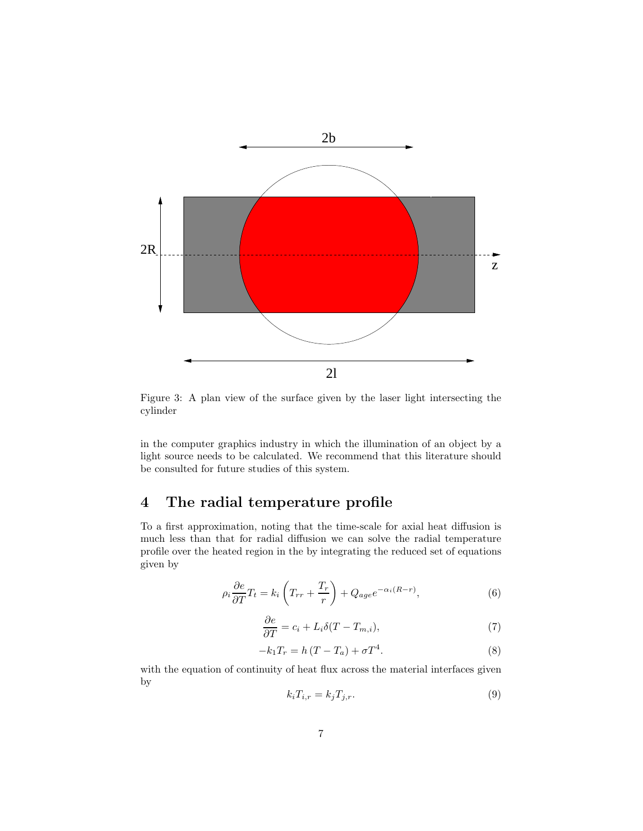

<span id="page-6-1"></span>Figure 3: A plan view of the surface given by the laser light intersecting the cylinder

in the computer graphics industry in which the illumination of an object by a light source needs to be calculated. We recommend that this literature should be consulted for future studies of this system.

# <span id="page-6-0"></span>4 The radial temperature profile

To a first approximation, noting that the time-scale for axial heat diffusion is much less than that for radial diffusion we can solve the radial temperature profile over the heated region in the by integrating the reduced set of equations given by

$$
\rho_i \frac{\partial e}{\partial T} T_t = k_i \left( T_{rr} + \frac{T_r}{r} \right) + Q_{age} e^{-\alpha_i (R-r)},\tag{6}
$$

$$
\frac{\partial e}{\partial T} = c_i + L_i \delta(T - T_{m,i}),\tag{7}
$$

$$
-k_1 T_r = h (T - T_a) + \sigma T^4. \tag{8}
$$

with the equation of continuity of heat flux across the material interfaces given by

$$
k_i T_{i,r} = k_j T_{j,r}.\tag{9}
$$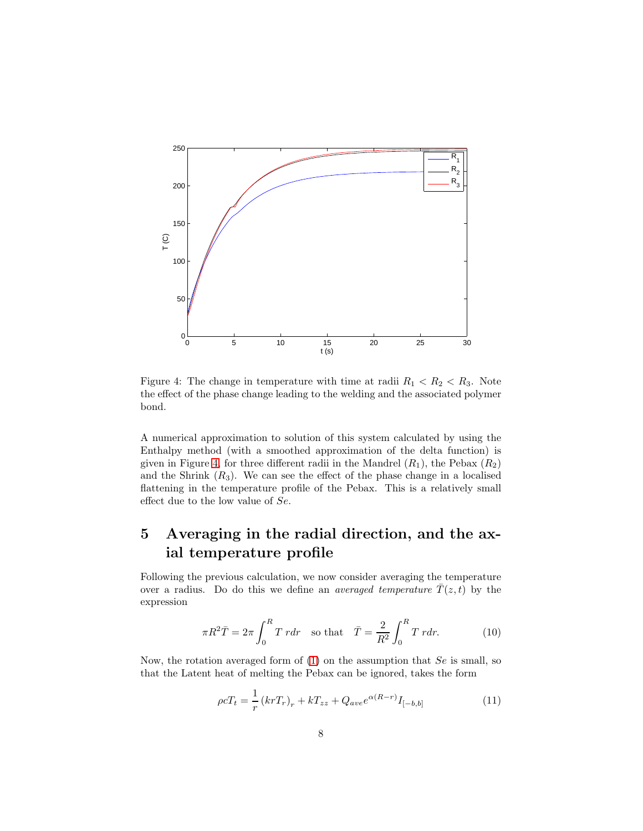

<span id="page-7-1"></span>Figure 4: The change in temperature with time at radii  $R_1 < R_2 < R_3$ . Note the effect of the phase change leading to the welding and the associated polymer bond.

A numerical approximation to solution of this system calculated by using the Enthalpy method (with a smoothed approximation of the delta function) is given in Figure [4,](#page-7-1) for three different radii in the Mandrel  $(R_1)$ , the Pebax  $(R_2)$ and the Shrink  $(R_3)$ . We can see the effect of the phase change in a localised flattening in the temperature profile of the Pebax. This is a relatively small effect due to the low value of Se.

# <span id="page-7-0"></span>5 Averaging in the radial direction, and the axial temperature profile

Following the previous calculation, we now consider averaging the temperature over a radius. Do do this we define an *averaged temperature*  $\overline{T}(z, t)$  by the expression

$$
\pi R^2 \overline{T} = 2\pi \int_0^R T \, r dr \quad \text{so that} \quad \overline{T} = \frac{2}{R^2} \int_0^R T \, r dr. \tag{10}
$$

Now, the rotation averaged form of  $(1)$  on the assumption that  $Se$  is small, so that the Latent heat of melting the Pebax can be ignored, takes the form

<span id="page-7-2"></span>
$$
\rho c T_t = \frac{1}{r} \left( kr T_r \right)_r + k T_{zz} + Q_{ave} e^{\alpha (R-r)} I_{[-b,b]}
$$
\n(11)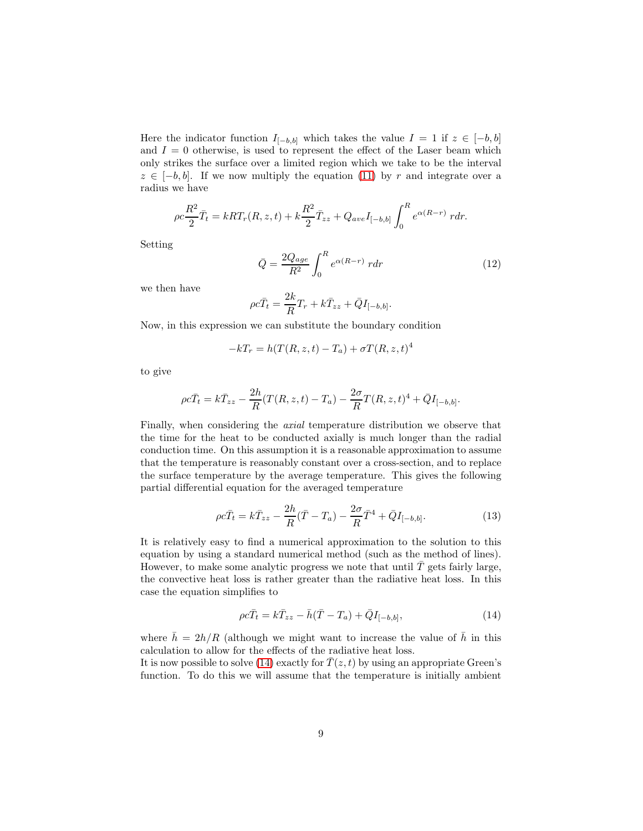Here the indicator function  $I_{[-b,b]}$  which takes the value  $I = 1$  if  $z \in [-b,b]$ and  $I = 0$  otherwise, is used to represent the effect of the Laser beam which only strikes the surface over a limited region which we take to be the interval  $z \in [-b, b]$ . If we now multiply the equation [\(11\)](#page-7-2) by r and integrate over a radius we have

$$
\rho c \frac{R^2}{2} \bar{T}_t = kRT_r(R, z, t) + k \frac{R^2}{2} \bar{T}_{zz} + Q_{ave} I_{[-b, b]} \int_0^R e^{\alpha(R-r)} r dr.
$$

Setting

$$
\bar{Q} = \frac{2Q_{age}}{R^2} \int_0^R e^{\alpha(R-r)} r dr \qquad (12)
$$

we then have

$$
\rho c \bar{T}_t = \frac{2k}{R} T_r + k \bar{T}_{zz} + \bar{Q} I_{[-b,b]}.
$$

Now, in this expression we can substitute the boundary condition

$$
-kT_r = h(T(R, z, t) - T_a) + \sigma T(R, z, t)^4
$$

to give

$$
\rho c \bar{T}_t = k \bar{T}_{zz} - \frac{2h}{R} (T(R, z, t) - T_a) - \frac{2\sigma}{R} T(R, z, t)^4 + \bar{Q} I_{[-b, b]}.
$$

Finally, when considering the axial temperature distribution we observe that the time for the heat to be conducted axially is much longer than the radial conduction time. On this assumption it is a reasonable approximation to assume that the temperature is reasonably constant over a cross-section, and to replace the surface temperature by the average temperature. This gives the following partial differential equation for the averaged temperature

$$
\rho c \bar{T}_t = k \bar{T}_{zz} - \frac{2h}{R} (\bar{T} - T_a) - \frac{2\sigma}{R} \bar{T}^4 + \bar{Q} I_{[-b,b]}.
$$
 (13)

It is relatively easy to find a numerical approximation to the solution to this equation by using a standard numerical method (such as the method of lines). However, to make some analytic progress we note that until  $T$  gets fairly large, the convective heat loss is rather greater than the radiative heat loss. In this case the equation simplifies to

<span id="page-8-0"></span>
$$
\rho c \bar{T}_t = k \bar{T}_{zz} - \bar{h} (\bar{T} - T_a) + \bar{Q} I_{[-b,b]}, \qquad (14)
$$

where  $\bar{h} = 2h/R$  (although we might want to increase the value of  $\bar{h}$  in this calculation to allow for the effects of the radiative heat loss.

It is now possible to solve [\(14\)](#page-8-0) exactly for  $\overline{T}(z, t)$  by using an appropriate Green's function. To do this we will assume that the temperature is initially ambient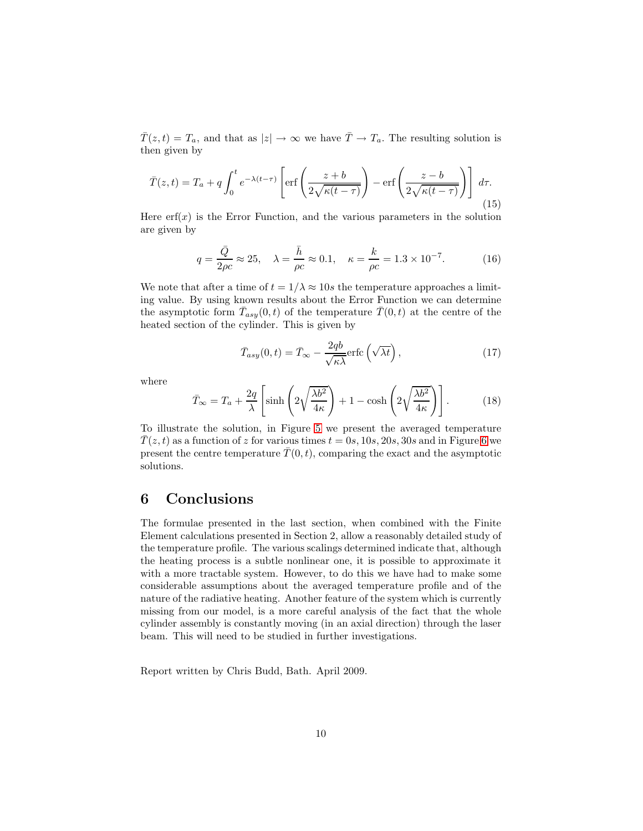$\overline{T}(z,t) = T_a$ , and that as  $|z| \to \infty$  we have  $\overline{T} \to T_a$ . The resulting solution is then given by

$$
\bar{T}(z,t) = T_a + q \int_0^t e^{-\lambda(t-\tau)} \left[ \text{erf}\left(\frac{z+b}{2\sqrt{\kappa(t-\tau)}}\right) - \text{erf}\left(\frac{z-b}{2\sqrt{\kappa(t-\tau)}}\right) \right] d\tau.
$$
\n(15)

Here  $\text{erf}(x)$  is the Error Function, and the various parameters in the solution are given by

$$
q = \frac{\bar{Q}}{2\rho c} \approx 25, \quad \lambda = \frac{\bar{h}}{\rho c} \approx 0.1, \quad \kappa = \frac{k}{\rho c} = 1.3 \times 10^{-7}.
$$
 (16)

We note that after a time of  $t = 1/\lambda \approx 10s$  the temperature approaches a limiting value. By using known results about the Error Function we can determine the asymptotic form  $\bar{T}_{asy}(0,t)$  of the temperature  $\bar{T}(0,t)$  at the centre of the heated section of the cylinder. This is given by

$$
\bar{T}_{asy}(0,t) = \bar{T}_{\infty} - \frac{2qb}{\sqrt{\kappa\lambda}} \text{erfc}\left(\sqrt{\lambda t}\right),\tag{17}
$$

where

$$
\bar{T}_{\infty} = T_a + \frac{2q}{\lambda} \left[ \sinh\left(2\sqrt{\frac{\lambda b^2}{4\kappa}}\right) + 1 - \cosh\left(2\sqrt{\frac{\lambda b^2}{4\kappa}}\right) \right].
$$
 (18)

To illustrate the solution, in Figure [5](#page-10-0) we present the averaged temperature  $\overline{T}(z, t)$  as a function of z for various times  $t = 0s, 10s, 20s, 30s$  and in Figure [6](#page-11-0) we present the centre temperature  $\overline{T}(0, t)$ , comparing the exact and the asymptotic solutions.

# <span id="page-9-0"></span>6 Conclusions

The formulae presented in the last section, when combined with the Finite Element calculations presented in Section 2, allow a reasonably detailed study of the temperature profile. The various scalings determined indicate that, although the heating process is a subtle nonlinear one, it is possible to approximate it with a more tractable system. However, to do this we have had to make some considerable assumptions about the averaged temperature profile and of the nature of the radiative heating. Another feature of the system which is currently missing from our model, is a more careful analysis of the fact that the whole cylinder assembly is constantly moving (in an axial direction) through the laser beam. This will need to be studied in further investigations.

Report written by Chris Budd, Bath. April 2009.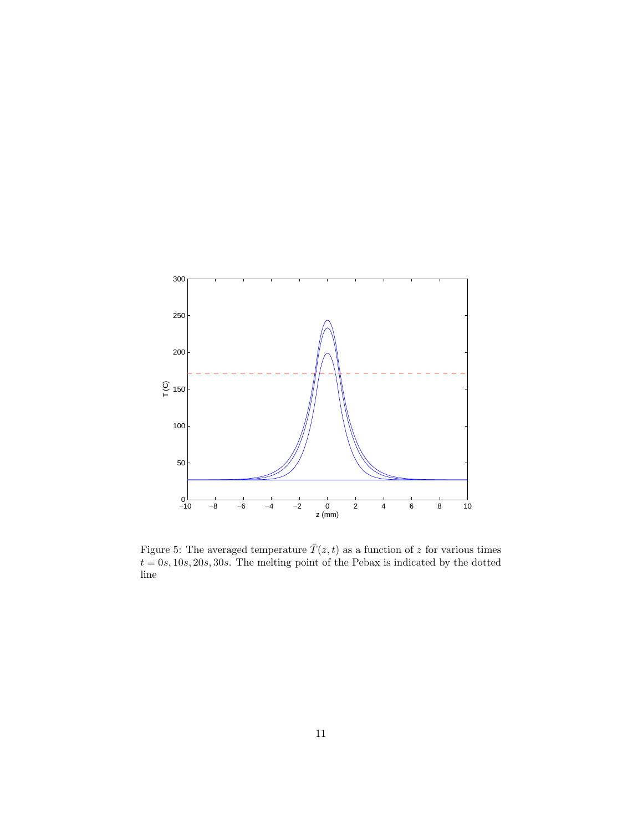

<span id="page-10-0"></span>Figure 5: The averaged temperature  $\bar{T}(z,t)$  as a function of z for various times  $t = 0s, 10s, 20s, 30s$ . The melting point of the Pebax is indicated by the dotted line